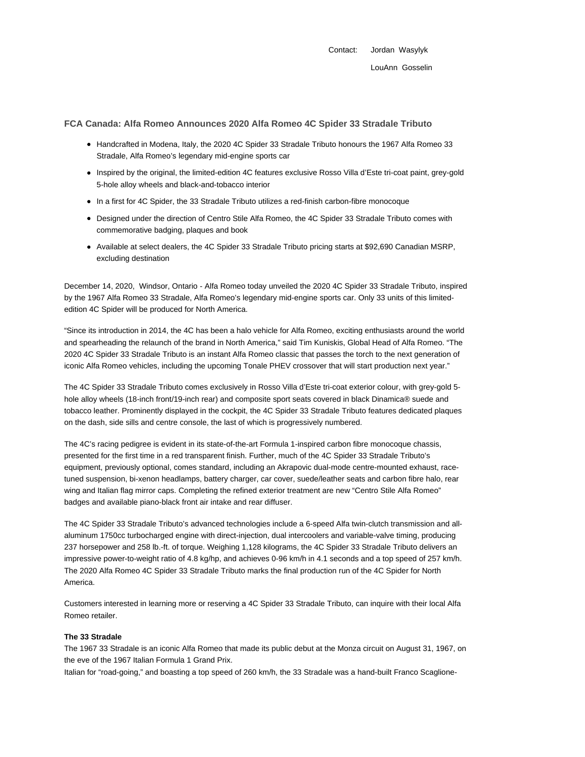Contact: Jordan Wasylyk LouAnn Gosselin

## **FCA Canada: Alfa Romeo Announces 2020 Alfa Romeo 4C Spider 33 Stradale Tributo**

- Handcrafted in Modena, Italy, the 2020 4C Spider 33 Stradale Tributo honours the 1967 Alfa Romeo 33 Stradale, Alfa Romeo's legendary mid-engine sports car
- Inspired by the original, the limited-edition 4C features exclusive Rosso Villa d'Este tri-coat paint, grey-gold 5-hole alloy wheels and black-and-tobacco interior
- In a first for 4C Spider, the 33 Stradale Tributo utilizes a red-finish carbon-fibre monocoque
- Designed under the direction of Centro Stile Alfa Romeo, the 4C Spider 33 Stradale Tributo comes with commemorative badging, plaques and book
- Available at select dealers, the 4C Spider 33 Stradale Tributo pricing starts at \$92,690 Canadian MSRP, excluding destination

December 14, 2020, Windsor, Ontario - Alfa Romeo today unveiled the 2020 4C Spider 33 Stradale Tributo, inspired by the 1967 Alfa Romeo 33 Stradale, Alfa Romeo's legendary mid-engine sports car. Only 33 units of this limitededition 4C Spider will be produced for North America.

"Since its introduction in 2014, the 4C has been a halo vehicle for Alfa Romeo, exciting enthusiasts around the world and spearheading the relaunch of the brand in North America," said Tim Kuniskis, Global Head of Alfa Romeo. "The 2020 4C Spider 33 Stradale Tributo is an instant Alfa Romeo classic that passes the torch to the next generation of iconic Alfa Romeo vehicles, including the upcoming Tonale PHEV crossover that will start production next year."

The 4C Spider 33 Stradale Tributo comes exclusively in Rosso Villa d'Este tri-coat exterior colour, with grey-gold 5 hole alloy wheels (18-inch front/19-inch rear) and composite sport seats covered in black Dinamica® suede and tobacco leather. Prominently displayed in the cockpit, the 4C Spider 33 Stradale Tributo features dedicated plaques on the dash, side sills and centre console, the last of which is progressively numbered.

The 4C's racing pedigree is evident in its state-of-the-art Formula 1-inspired carbon fibre monocoque chassis, presented for the first time in a red transparent finish. Further, much of the 4C Spider 33 Stradale Tributo's equipment, previously optional, comes standard, including an Akrapovic dual-mode centre-mounted exhaust, racetuned suspension, bi-xenon headlamps, battery charger, car cover, suede/leather seats and carbon fibre halo, rear wing and Italian flag mirror caps. Completing the refined exterior treatment are new "Centro Stile Alfa Romeo" badges and available piano-black front air intake and rear diffuser.

The 4C Spider 33 Stradale Tributo's advanced technologies include a 6-speed Alfa twin-clutch transmission and allaluminum 1750cc turbocharged engine with direct-injection, dual intercoolers and variable-valve timing, producing 237 horsepower and 258 lb.-ft. of torque. Weighing 1,128 kilograms, the 4C Spider 33 Stradale Tributo delivers an impressive power-to-weight ratio of 4.8 kg/hp, and achieves 0-96 km/h in 4.1 seconds and a top speed of 257 km/h. The 2020 Alfa Romeo 4C Spider 33 Stradale Tributo marks the final production run of the 4C Spider for North America.

Customers interested in learning more or reserving a 4C Spider 33 Stradale Tributo, can inquire with their local Alfa Romeo retailer.

## **The 33 Stradale**

The 1967 33 Stradale is an iconic Alfa Romeo that made its public debut at the Monza circuit on August 31, 1967, on the eve of the 1967 Italian Formula 1 Grand Prix.

Italian for "road-going," and boasting a top speed of 260 km/h, the 33 Stradale was a hand-built Franco Scaglione-